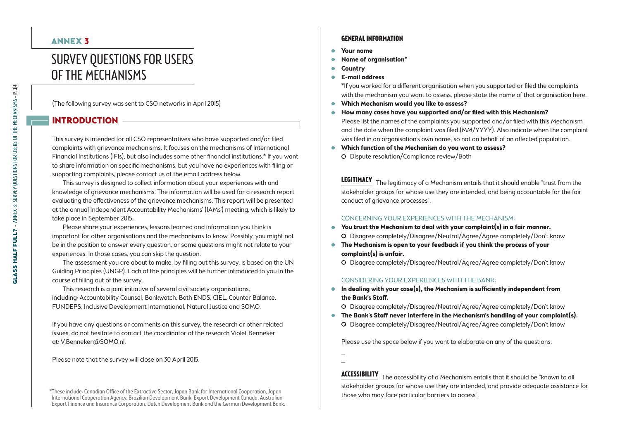# Survey Questions for Users of the Mechanisms

(The following survey was sent to CSO networks in April 2015)

# INTRODUCTION -

This survey is intended for all CSO representatives who have supported and/or filed complaints with grievance mechanisms. It focuses on the mechanisms of International Financial Institutions (IFIs), but also includes some other financial institutions.\* If you want to share information on specific mechanisms, but you have no experiences with filing or supporting complaints, please contact us at the email address below.

This survey is designed to collect information about your experiences with and knowledge of grievance mechanisms. The information will be used for a research report evaluating the effectiveness of the grievance mechanisms. This report will be presented at the annual Independent Accountability Mechanisms' (IAMs') meeting, which is likely to take place in September 2015.

Please share your experiences, lessons learned and information you think is important for other organisations and the mechanisms to know. Possibly, you might not be in the position to answer every question, or some questions might not relate to your experiences. In those cases, you can skip the question.

The assessment you are about to make, by filling out this survey, is based on the UN Guiding Principles (UNGP). Each of the principles will be further introduced to you in the course of filling out of the survey.

This research is a joint initiative of several civil society organisations, including: Accountability Counsel, Bankwatch, Both ENDS, CIEL, Counter Balance, FUNDEPS, Inclusive Development International, Natural Justice and SOMO.

If you have any questions or comments on this survey, the research or other related issues, do not hesitate to contact the coordinator of the research Violet Benneker at: V.Benneker@SOMO.nl.

Please note that the survey will close on 30 April 2015.

# ANNEX 3 **General information**

- . **Your name**
- . **Name of organisation\***
- . **Country**
- . **E-mail address**

\*If you worked for a different organisation when you supported or filed the complaints with the mechanism you want to assess, please state the name of that organisation here.

- . **Which Mechanism would you like to assess?**
- . **How many cases have you supported and/or filed with this Mechanism?** Please list the names of the complaints you supported and/or filed with this Mechanism and the date when the complaint was filed (MM/YYYY). Also indicate when the complaint was filed in an organisation's own name, so not on behalf of an affected population.
- . **Which function of the Mechanism do you want to assess?** Dispute resolution/Compliance review/Both

**Legitimacy** The legitimacy of a Mechanism entails that it should enable "trust from the stakeholder groups for whose use they are intended, and being accountable for the fair conduct of grievance processes".

#### Concerning your experiences with the Mechanism:

- . **You trust the Mechanism to deal with your complaint(s) in a fair manner.** Disagree completely/Disagree/Neutral/Agree/Agree completely/Don't know
- . **The Mechanism is open to your feedback if you think the process of your complaint(s) is unfair.**
	- Disagree completely/Disagree/Neutral/Agree/Agree completely/Don't know

#### Considering your experiences with the Bank:

- . **In dealing with your case(s), the Mechanism is sufficiently independent from the Bank's Staff.** 
	- Disagree completely/Disagree/Neutral/Agree/Agree completely/Don't know
- . **The Bank's Staff never interfere in the Mechanism's handling of your complaint(s).** Disagree completely/Disagree/Neutral/Agree/Agree completely/Don't know

Please use the space below if you want to elaborate on any of the questions.

\_ \_

**Accessibility** The accessibility of a Mechanism entails that it should be "known to all stakeholder groups for whose use they are intended, and provide adequate assistance for

<sup>\*</sup>These include: Canadian Office of the Extractive Sector, Japan Bank for International Cooperation, Japan and Marian and those who may face particular barriers to access".<br>International Cooperation Agency, Brazilian Develo Export Finance and Insurance Corporation, Dutch Development Bank and the German Development Bank.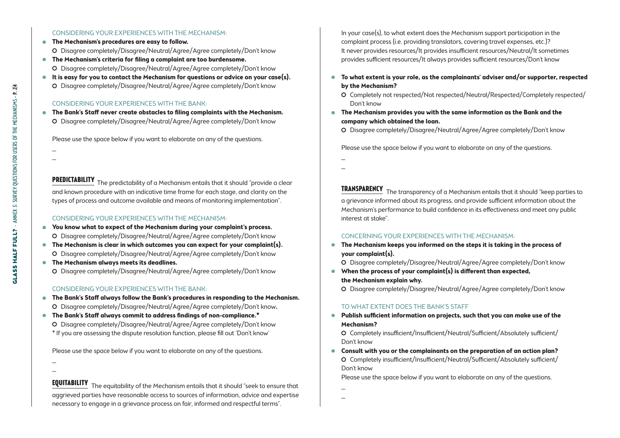#### Considering your experiences with the Mechanism:

- . **The Mechanism's procedures are easy to follow.** Disagree completely/Disagree/Neutral/Agree/Agree completely/Don't know
- . **The Mechanism's criteria for filing a complaint are too burdensome.** Disagree completely/Disagree/Neutral/Agree/Agree completely/Don't know
- . **It is easy for you to contact the Mechanism for questions or advice on your case(s).** Disagree completely/Disagree/Neutral/Agree/Agree completely/Don't know

#### Considering your experiences with the Bank:

. **The Bank's Staff never create obstacles to filing complaints with the Mechanism.** Disagree completely/Disagree/Neutral/Agree/Agree completely/Don't know

Please use the space below if you want to elaborate on any of the questions.

\_ \_

> **PREDICTABILITY** The predictability of a Mechanism entails that it should "provide a clear and known procedure with an indicative time frame for each stage, and clarity on the types of process and outcome available and means of monitoring implementation".

#### Considering your experiences with the Mechanism:

- . **You know what to expect of the Mechanism during your complaint's process.** Disagree completely/Disagree/Neutral/Agree/Agree completely/Don't know
- . **The Mechanism is clear in which outcomes you can expect for your complaint(s).** Disagree completely/Disagree/Neutral/Agree/Agree completely/Don't know
- . **The Mechanism always meets its deadlines.** Disagree completely/Disagree/Neutral/Agree/Agree completely/Don't know

### Considering your experiences with the Bank:

- . **The Bank's Staff always follow the Bank's procedures in responding to the Mechanism.** Disagree completely/Disagree/Neutral/Agree/Agree completely/Don't know**.**
- . **The Bank's Staff always commit to address findings of non-compliance.\*** Disagree completely/Disagree/Neutral/Agree/Agree completely/Don't know \* If you are assessing the dispute resolution function, please fill out 'Don't know'

Please use the space below if you want to elaborate on any of the questions.

\_ \_

**EQUITABILITY** The equitability of the Mechanism entails that it should "seek to ensure that aggrieved parties have reasonable access to sources of information, advice and expertise necessary to engage in a grievance process on fair, informed and respectful terms".

In your case(s), to what extent does the Mechanism support participation in the complaint process (i.e. providing translators, covering travel expenses, etc.)? It never provides resources/It provides insufficient resources/Neutral/It sometimes provides sufficient resources/It always provides sufficient resources/Don't know

- . **To what extent is your role, as the complainants' adviser and/or supporter, respected by the Mechanism?** 
	- O Completely not respected/Not respected/Neutral/Respected/Completely respected/ Don't know
- . **The Mechanism provides you with the same information as the Bank and the company which obtained the loan.**
	- Disagree completely/Disagree/Neutral/Agree/Agree completely/Don't know

Please use the space below if you want to elaborate on any of the questions.

\_ \_

**Transparency** The transparency of a Mechanism entails that it should "keep parties to a grievance informed about its progress, and provide sufficient information about the Mechanism's performance to build confidence in its effectiveness and meet any public interest at stake".

#### Concerning your experiences with the Mechanism:

- . **The Mechanism keeps you informed on the steps it is taking in the process of your complaint(s).**
	- Disagree completely/Disagree/Neutral/Agree/Agree completely/Don't know
- . **When the process of your complaint(s) is different than expected, the Mechanism explain why.**

Disagree completely/Disagree/Neutral/Agree/Agree completely/Don't know

#### To what extent does the Bank's Staff

. **Publish sufficient information on projects, such that you can make use of the Mechanism?**

 Completely insufficient/Insufficient/Neutral/Sufficient/Absolutely sufficient/ Don't know

. **Consult with you or the complainants on the preparation of an action plan?** Completely insufficient/Insufficient/Neutral/Sufficient/Absolutely sufficient/ Don't know

Please use the space below if you want to elaborate on any of the questions.

\_ \_

**GLASS HALF FULL?** - ANNEX 3: SURVEY QUESTIONS FOR USERS OF THE MECHANISMS - P. 2/4 GLASS HALF FULL? - ANNEX 3: Survey Questions for Users of the Mechanisms - p. 2|4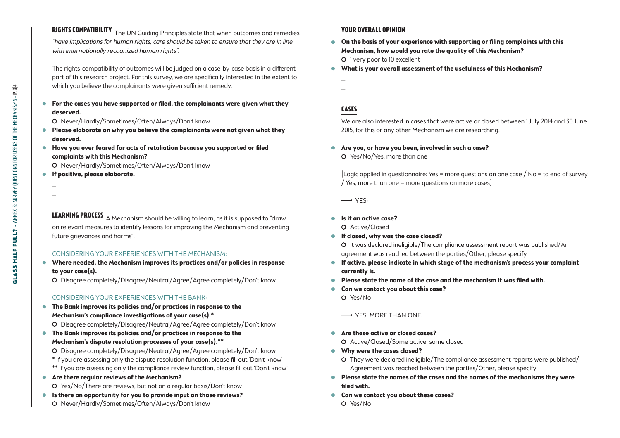# **Rights compatibility** The UN Guiding Principles state that when outcomes and remedies "have implications for human rights, care should be taken to ensure that they are in line with internationally recognized human rights".

The rights-compatibility of outcomes will be judged on a case-by-case basis in a different part of this research project. For this survey, we are specifically interested in the extent to which you believe the complainants were given sufficient remedy.

. **For the cases you have supported or filed, the complainants were given what they deserved.**

O Never/Hardly/Sometimes/Often/Always/Don't know

- . **Please elaborate on why you believe the complainants were not given what they deserved.**
- . **Have you ever feared for acts of retaliation because you supported or filed complaints with this Mechanism?**

Never/Hardly/Sometimes/Often/Always/Don't know

- . **If positive, please elaborate.**
- \_ \_

**LEARNING PROCESS** A Mechanism should be willing to learn, as it is supposed to "draw on relevant measures to identify lessons for improving the Mechanism and preventing future grievances and harms".

### Considering your experiences with the Mechanism:

. **Where needed, the Mechanism improves its practices and/or policies in response to your case(s).**

Disagree completely/Disagree/Neutral/Agree/Agree completely/Don't know

## Considering your experiences with the Bank:

. **The Bank improves its policies and/or practices in response to the Mechanism's compliance investigations of your case(s).\***

Disagree completely/Disagree/Neutral/Agree/Agree completely/Don't know

. **The Bank improves its policies and/or practices in response to the Mechanism's dispute resolution processes of your case(s).\*\***

 Disagree completely/Disagree/Neutral/Agree/Agree completely/Don't know \* If you are assessing only the dispute resolution function, please fill out 'Don't know' \*\* If you are assessing only the compliance review function, please fill out 'Don't know'

- . **Are there regular reviews of the Mechanism?** Yes/No/There are reviews, but not on a regular basis/Don't know
- . **Is there an opportunity for you to provide input on those reviews?**
- Never/Hardly/Sometimes/Often/Always/Don't know

# **Your overall opinion**

- . **On the basis of your experience with supporting or filing complaints with this Mechanism, how would you rate the quality of this Mechanism?** O I very poor to 10 excellent
- . **What is your overall assessment of the usefulness of this Mechanism?**
- \_ \_

# **Cases**

We are also interested in cases that were active or closed between 1 July 2014 and 30 June 2015, for this or any other Mechanism we are researching.

. **Are you, or have you been, involved in such a case?**

Yes/No/Yes, more than one

[Logic applied in questionnaire: Yes = more questions on one case  $/$  No = to end of survey / Yes, more than one = more questions on more cases]

 $\longrightarrow$  YES:

## . **Is it an active case?**

O Active/Closed

. **If closed, why was the case closed?**

 It was declared ineligible/The compliance assessment report was published/An agreement was reached between the parties/Other, please specify

- . **If active, please indicate in which stage of the mechanism's process your complaint currently is.**
- . **Please state the name of the case and the mechanism it was filed with.**
- . **Can we contact you about this case?**

Yes/No

 $\rightarrow$  YES, MORE THAN ONE:

- . **Are these active or closed cases?**
	- Active/Closed/Some active, some closed
- . **Why were the cases closed?**
	- They were declared ineligible/The compliance assessment reports were published/ Agreement was reached between the parties/Other, please specify
- . **Please state the names of the cases and the names of the mechanisms they were filed with.**
- . **Can we contact you about these cases?**
	- Yes/No